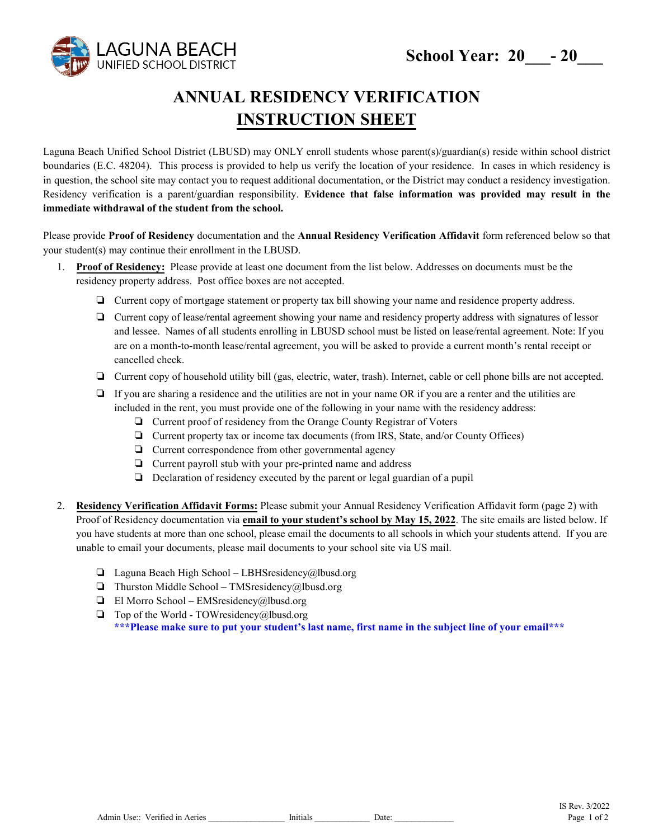

## **ANNUAL RESIDENCY VERIFICATION INSTRUCTION SHEET**

Laguna Beach Unified School District (LBUSD) may ONLY enroll students whose parent(s)/guardian(s) reside within school district boundaries (E.C. 48204). This process is provided to help us verify the location of your residence. In cases in which residency is in question, the school site may contact you to request additional documentation, or the District may conduct a residency investigation. Residency verification is a parent/guardian responsibility. **Evidence that false information was provided may result in the immediate withdrawal of the student from the school.** 

Please provide **Proof of Residency** documentation and the **Annual Residency Verification Affidavit** form referenced below so that your student(s) may continue their enrollment in the LBUSD.

- 1. **Proof of Residency:** Please provide at least one document from the list below. Addresses on documents must be the residency property address. Post office boxes are not accepted.
	- ❏ Current copy of mortgage statement or property tax bill showing your name and residence property address.
	- ❏ Current copy of lease/rental agreement showing your name and residency property address with signatures of lessor and lessee. Names of all students enrolling in LBUSD school must be listed on lease/rental agreement. Note: If you are on a month-to-month lease/rental agreement, you will be asked to provide a current month's rental receipt or cancelled check.
	- ❏ Current copy of household utility bill (gas, electric, water, trash). Internet, cable or cell phone bills are not accepted.
	- ❏ If you are sharing a residence and the utilities are not in your name OR if you are a renter and the utilities are included in the rent, you must provide one of the following in your name with the residency address:
		- ❏ Current proof of residency from the Orange County Registrar of Voters
		- ❏ Current property tax or income tax documents (from IRS, State, and/or County Offices)
		- ❏ Current correspondence from other governmental agency
		- ❏ Current payroll stub with your pre-printed name and address
		- ❏ Declaration of residency executed by the parent or legal guardian of a pupil
- 2. **Residency Verification Affidavit Forms:** Please submit your Annual Residency Verification Affidavit form (page 2) with Proof of Residency documentation via **email to your student's school by May 15, 2022**. The site emails are listed below. If you have students at more than one school, please email the documents to all schools in which your students attend. If you are unable to email your documents, please mail documents to your school site via US mail.
	- ❏ Laguna Beach High School LBHSresidency@lbusd.org
	- $\Box$  Thurston Middle School TMSresidency@lbusd.org
	- $\Box$  El Morro School EMSresidency@lbusd.org
	- $\Box$  Top of the World TOWresidency@lbusd.org **\*\*\*Please make sure to put your student's last name, first name in the subject line of your email\*\*\***